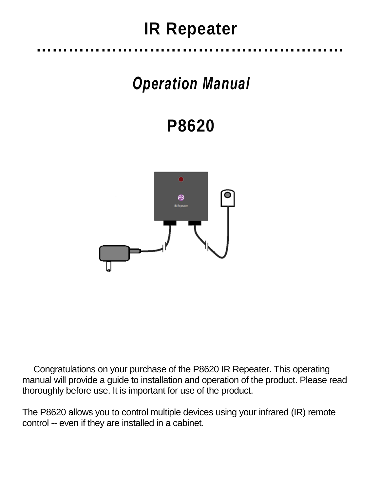## **IR Repeater …………………………………………………**

# *Operation Manual*

**P8620**



Congratulations on your purchase of the P8620 IR Repeater. This operating manual will provide a guide to installation and operation of the product. Please read thoroughly before use. It is important for use of the product.

The P8620 allows you to control multiple devices using your infrared (IR) remote control -- even if they are installed in a cabinet.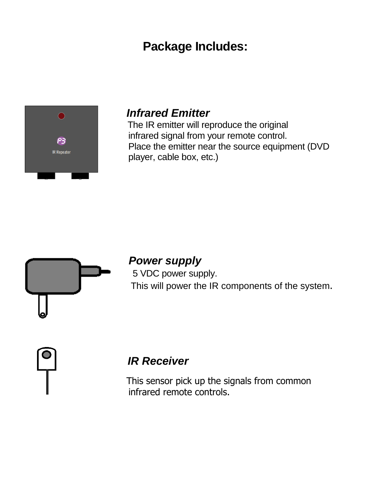## **Package Includes:**



### *Infrared Emitter*

The IR emitter will reproduce the original **P3** infrared signal from your remote control. R Repeater **Exercise Exercise Conserver** Place the emitter near the source equipment (DVD player, cable box, etc.)



## *Power supply* 5 VDC power supply.

This will power the IR components of the system.

## *IR Receiver*

This sensor pick up the signals from common infrared remote controls.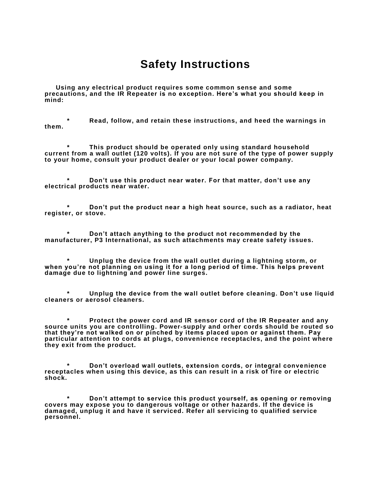#### **Safety Instructions**

**Using any electrical product requires some common sense and some precautions, and the IR Repeater is no exception. Here's what you should keep in mind:**

**\* Read, follow, and retain these instructions, and heed the warnings in them.**

**\* This product should be operated only using standard household current from a wall outlet (120 volts). If you are not sure of the type of power supply to your home, consult your product dealer or your local power company.** 

**\* Don't use this product near water. For that matter, don't use any electrical products near water.**

**\* Don't put the product near a high heat source, such as a radiator, heat register, or stove.**

**\* Don't attach anything to the product not recommended by the manufacturer, P3 International, as such attachments may create safety issues.** 

**\* Unplug the device from the wall outlet during a lightning storm, or when you're not planning on using it for a long period of time. This helps prevent damage due to lightning and power line surges.**

**\* Unplug the device from the wall outlet before cleaning. Don't use liquid cleaners or aerosol cleaners.**

**\* Protect the power cord and IR sensor cord of the IR Repeater and any source units you are controlling. Power-supply and orher cords should be routed so that they're not walked on or pinched by items placed upon or against them. Pay particular attention to cords at plugs, convenience receptacles, and the point where they exit from the product.**

**\* Don't overload wall outlets, extension cords, or integral convenience receptacles when using this device, as this can result in a risk of fire or electric shock.**

**\* Don't attempt to service this product yourself, as opening or removing covers may expose you to dangerous voltage or other hazards. If the device is damaged, unplug it and have it serviced. Refer all servicing to qualified service personnel.**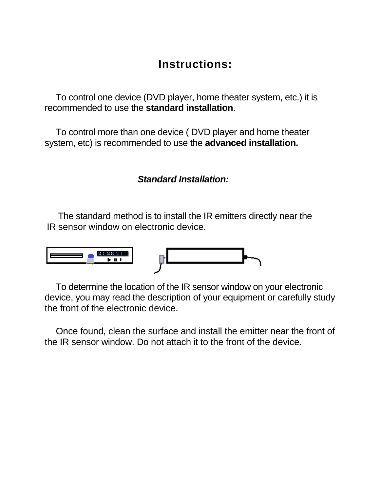## **Instructions:**

To control one device (DVD player, home theater system, etc.) it is recommended to use the **standard installation**.

To control more than one device ( DVD player and home theater system, etc) is recommended to use the **advanced installation.**

#### *Standard Installation:*

The standard method is to install the IR emitters directly near the IR sensor window on electronic device.



To determine the location of the IR sensor window on your electronic device, you may read the description of your equipment or carefully study the front of the electronic device.

Once found, clean the surface and install the emitter near the front of the IR sensor window. Do not attach it to the front of the device.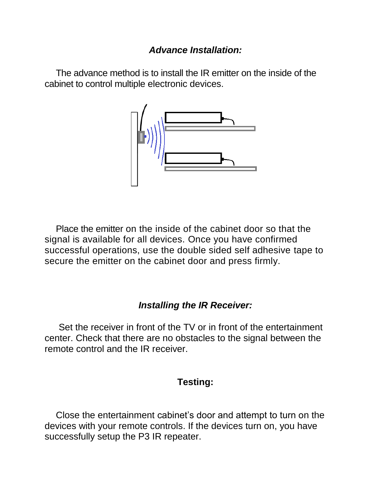#### *Advance Installation:*

The advance method is to install the IR emitter on the inside of the cabinet to control multiple electronic devices.



Place the emitter on the inside of the cabinet door so that the signal is available for all devices. Once you have confirmed successful operations, use the double sided self adhesive tape to secure the emitter on the cabinet door and press firmly.

#### *Installing the IR Receiver:*

Set the receiver in front of the TV or in front of the entertainment center. Check that there are no obstacles to the signal between the remote control and the IR receiver.

#### **Testing:**

Close the entertainment cabinet's door and attempt to turn on the devices with your remote controls. If the devices turn on, you have successfully setup the P3 IR repeater.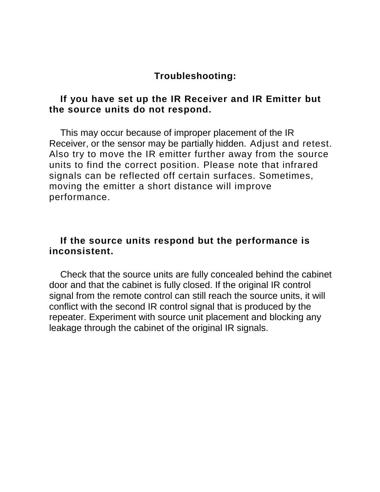#### **Troubleshooting:**

#### **If you have set up the IR Receiver and IR Emitter but the source units do not respond.**

This may occur because of improper placement of the IR Receiver, or the sensor may be partially hidden. Adjust and retest. Also try to move the IR emitter further away from the source units to find the correct position. Please note that infrared signals can be reflected off certain surfaces. Sometimes, moving the emitter a short distance will improve performance.

#### **If the source units respond but the performance is inconsistent.**

Check that the source units are fully concealed behind the cabinet door and that the cabinet is fully closed. If the original IR control signal from the remote control can still reach the source units, it will conflict with the second IR control signal that is produced by the repeater. Experiment with source unit placement and blocking any leakage through the cabinet of the original IR signals.